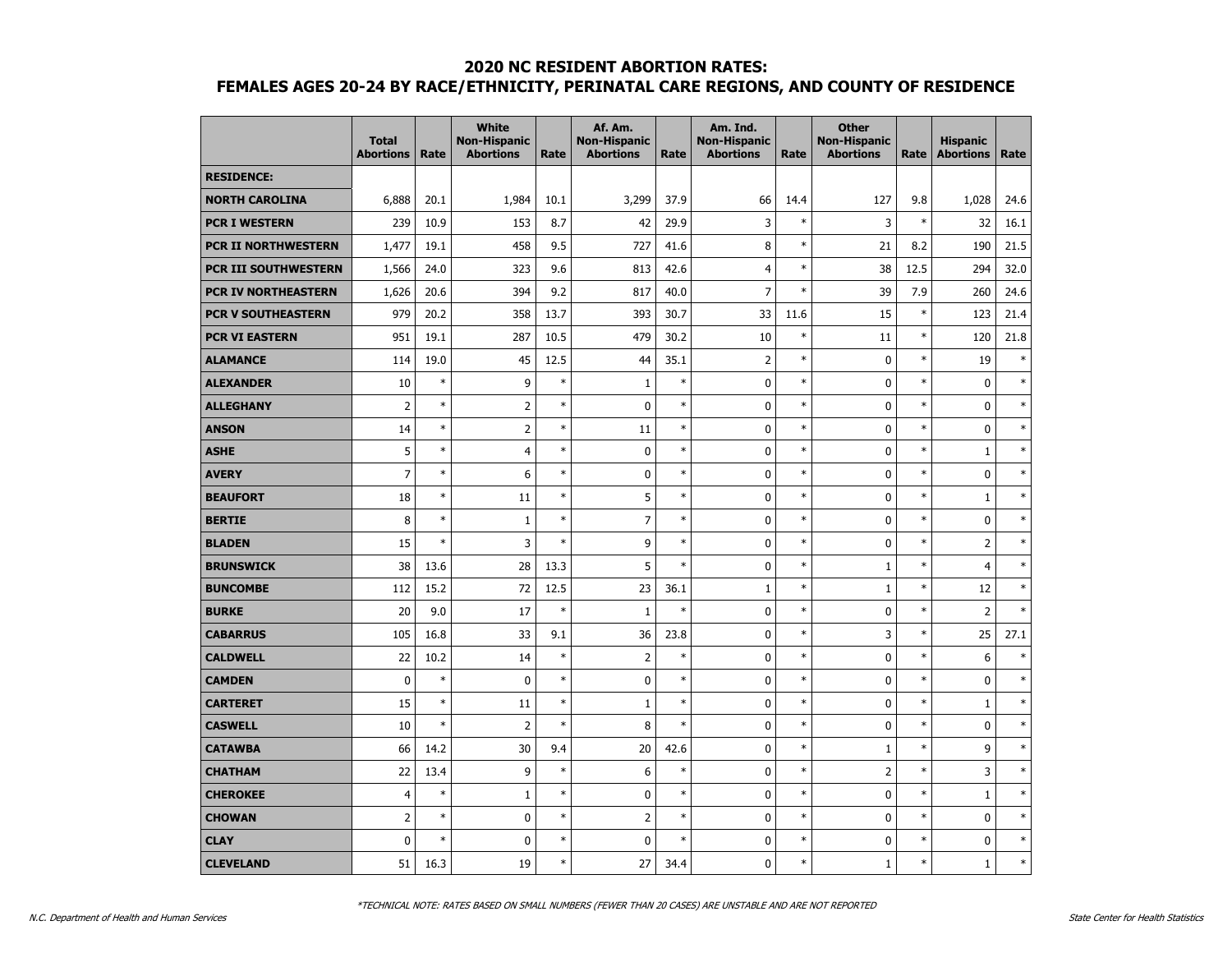|                             | <b>Total</b><br><b>Abortions</b> | Rate   | <b>White</b><br><b>Non-Hispanic</b><br><b>Abortions</b> | Rate   | Af. Am.<br><b>Non-Hispanic</b><br><b>Abortions</b> | Rate   | Am. Ind.<br><b>Non-Hispanic</b><br><b>Abortions</b> | Rate   | <b>Other</b><br><b>Non-Hispanic</b><br><b>Abortions</b> | Rate   | <b>Hispanic</b><br><b>Abortions</b> | Rate   |
|-----------------------------|----------------------------------|--------|---------------------------------------------------------|--------|----------------------------------------------------|--------|-----------------------------------------------------|--------|---------------------------------------------------------|--------|-------------------------------------|--------|
| <b>RESIDENCE:</b>           |                                  |        |                                                         |        |                                                    |        |                                                     |        |                                                         |        |                                     |        |
| <b>NORTH CAROLINA</b>       | 6,888                            | 20.1   | 1,984                                                   | 10.1   | 3,299                                              | 37.9   | 66                                                  | 14.4   | 127                                                     | 9.8    | 1,028                               | 24.6   |
| <b>PCR I WESTERN</b>        | 239                              | 10.9   | 153                                                     | 8.7    | 42                                                 | 29.9   | 3                                                   | $\ast$ | 3                                                       | $\ast$ | 32                                  | 16.1   |
| <b>PCR II NORTHWESTERN</b>  | 1,477                            | 19.1   | 458                                                     | 9.5    | 727                                                | 41.6   | 8                                                   | $\ast$ | 21                                                      | 8.2    | 190                                 | 21.5   |
| <b>PCR III SOUTHWESTERN</b> | 1,566                            | 24.0   | 323                                                     | 9.6    | 813                                                | 42.6   | $\overline{4}$                                      | $\ast$ | 38                                                      | 12.5   | 294                                 | 32.0   |
| PCR IV NORTHEASTERN         | 1,626                            | 20.6   | 394                                                     | 9.2    | 817                                                | 40.0   | $\overline{7}$                                      | $\ast$ | 39                                                      | 7.9    | 260                                 | 24.6   |
| <b>PCR V SOUTHEASTERN</b>   | 979                              | 20.2   | 358                                                     | 13.7   | 393                                                | 30.7   | 33                                                  | 11.6   | 15                                                      | $\ast$ | 123                                 | 21.4   |
| <b>PCR VI EASTERN</b>       | 951                              | 19.1   | 287                                                     | 10.5   | 479                                                | 30.2   | 10                                                  | $\ast$ | 11                                                      | $\ast$ | 120                                 | 21.8   |
| <b>ALAMANCE</b>             | 114                              | 19.0   | 45                                                      | 12.5   | 44                                                 | 35.1   | $\overline{2}$                                      | $\ast$ | 0                                                       | $\ast$ | 19                                  | $\ast$ |
| <b>ALEXANDER</b>            | 10                               | $\ast$ | 9                                                       | $\ast$ | $\mathbf{1}$                                       | $\ast$ | 0                                                   | $\ast$ | $\mathbf 0$                                             | $\ast$ | $\mathbf 0$                         | $\ast$ |
| <b>ALLEGHANY</b>            | $\overline{2}$                   | $\ast$ | $\overline{2}$                                          | $\ast$ | $\mathbf 0$                                        | $\ast$ | 0                                                   | $\ast$ | $\mathbf 0$                                             | *      | $\mathbf 0$                         | $\ast$ |
| <b>ANSON</b>                | 14                               | $\ast$ | $\overline{2}$                                          | $\ast$ | 11                                                 | $\ast$ | 0                                                   | $\ast$ | $\mathbf 0$                                             | $\ast$ | 0                                   | $\ast$ |
| <b>ASHE</b>                 | 5                                | $\ast$ | $\overline{4}$                                          | $\ast$ | $\mathbf 0$                                        | $\ast$ | 0                                                   | $\ast$ | $\mathbf 0$                                             | $\ast$ | $\mathbf{1}$                        | $\ast$ |
| <b>AVERY</b>                | $\overline{7}$                   | $\ast$ | 6                                                       | $\ast$ | 0                                                  | $\ast$ | 0                                                   | $\ast$ | 0                                                       | $\ast$ | $\mathbf 0$                         | $\ast$ |
| <b>BEAUFORT</b>             | 18                               | $\ast$ | 11                                                      | $\ast$ | 5                                                  | $\ast$ | 0                                                   | $\ast$ | $\mathbf 0$                                             | $\ast$ | $\mathbf 1$                         | $\ast$ |
| <b>BERTIE</b>               | 8                                | $\ast$ | $\mathbf 1$                                             | $\ast$ | $\overline{7}$                                     | $\ast$ | 0                                                   | $\ast$ | $\mathbf 0$                                             | $\ast$ | 0                                   | $\ast$ |
| <b>BLADEN</b>               | 15                               | $\ast$ | 3                                                       | $\ast$ | 9                                                  | $\ast$ | 0                                                   | $\ast$ | 0                                                       | $\ast$ | $\overline{2}$                      | $\ast$ |
| <b>BRUNSWICK</b>            | 38                               | 13.6   | 28                                                      | 13.3   | 5                                                  | $\ast$ | 0                                                   | $\ast$ | $\mathbf{1}$                                            | $\ast$ | $\overline{4}$                      | $\ast$ |
| <b>BUNCOMBE</b>             | 112                              | 15.2   | 72                                                      | 12.5   | 23                                                 | 36.1   | $\mathbf{1}$                                        | $\ast$ | $\mathbf{1}$                                            | $\ast$ | 12                                  | $\ast$ |
| <b>BURKE</b>                | 20                               | 9.0    | 17                                                      | $\ast$ | $\mathbf{1}$                                       | $\ast$ | $\mathbf 0$                                         | $\ast$ | $\mathbf 0$                                             | $\ast$ | $\overline{2}$                      | $\ast$ |
| <b>CABARRUS</b>             | 105                              | 16.8   | 33                                                      | 9.1    | 36                                                 | 23.8   | 0                                                   | $\ast$ | 3                                                       | $\ast$ | 25                                  | 27.1   |
| <b>CALDWELL</b>             | 22                               | 10.2   | 14                                                      | $\ast$ | $\overline{2}$                                     | $\ast$ | 0                                                   | $\ast$ | 0                                                       | $\ast$ | 6                                   | $\ast$ |
| <b>CAMDEN</b>               | $\mathbf 0$                      | $\ast$ | 0                                                       | $\ast$ | $\mathbf 0$                                        | $\ast$ | $\mathbf 0$                                         | $\ast$ | $\mathbf 0$                                             | $\ast$ | $\mathbf 0$                         | $\ast$ |
| <b>CARTERET</b>             | 15                               | $\ast$ | 11                                                      | $\ast$ | $\mathbf 1$                                        | $\ast$ | 0                                                   | $\ast$ | 0                                                       | $\ast$ | $\mathbf 1$                         | $\ast$ |
| <b>CASWELL</b>              | 10                               | $\ast$ | $\overline{2}$                                          | $\ast$ | 8                                                  | $\ast$ | 0                                                   | $\ast$ | $\mathbf 0$                                             | $\ast$ | $\mathbf 0$                         | $\ast$ |
| <b>CATAWBA</b>              | 66                               | 14.2   | 30                                                      | 9.4    | 20                                                 | 42.6   | 0                                                   | $\ast$ | $\mathbf{1}$                                            | $\ast$ | 9                                   | $\ast$ |
| <b>CHATHAM</b>              | 22                               | 13.4   | 9                                                       | $\ast$ | 6                                                  | $\ast$ | 0                                                   | $\ast$ | $\overline{2}$                                          | $\ast$ | 3                                   | $\ast$ |
| <b>CHEROKEE</b>             | $\overline{4}$                   | $\ast$ | $\mathbf 1$                                             | $\ast$ | $\pmb{0}$                                          | $\ast$ | 0                                                   | $\ast$ | $\mathbf 0$                                             | $\ast$ | $\mathbf 1$                         | $\ast$ |
| <b>CHOWAN</b>               | $\overline{2}$                   | $\ast$ | 0                                                       | $\ast$ | $\overline{2}$                                     | $\ast$ | 0                                                   | $\ast$ | 0                                                       | $\ast$ | $\mathbf 0$                         | $\ast$ |
| <b>CLAY</b>                 | $\mathbf 0$                      | $\ast$ | 0                                                       | $\ast$ | $\mathbf 0$                                        | $\ast$ | 0                                                   | $\ast$ | 0                                                       | $\ast$ | 0                                   | $\ast$ |
| <b>CLEVELAND</b>            | 51                               | 16.3   | 19                                                      | $\ast$ | 27                                                 | 34.4   | 0                                                   | $\ast$ | $\mathbf{1}$                                            | $\ast$ | $\mathbf{1}$                        | $\ast$ |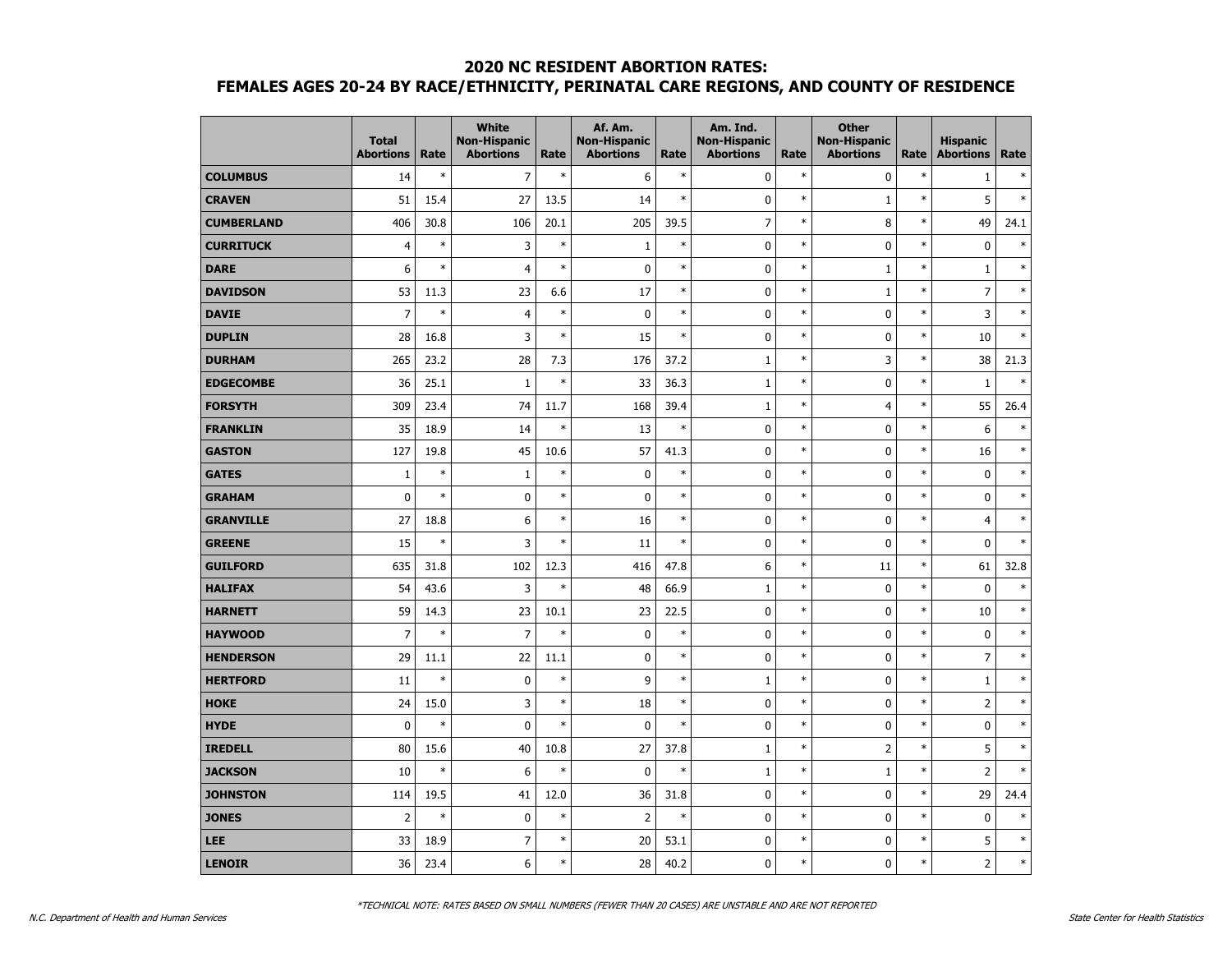|                   | <b>Total</b><br><b>Abortions</b> | Rate   | <b>White</b><br><b>Non-Hispanic</b><br><b>Abortions</b> | Rate   | Af. Am.<br><b>Non-Hispanic</b><br><b>Abortions</b> | Rate   | Am. Ind.<br><b>Non-Hispanic</b><br><b>Abortions</b> | Rate   | <b>Other</b><br><b>Non-Hispanic</b><br><b>Abortions</b> | Rate   | <b>Hispanic</b><br><b>Abortions</b> | Rate   |
|-------------------|----------------------------------|--------|---------------------------------------------------------|--------|----------------------------------------------------|--------|-----------------------------------------------------|--------|---------------------------------------------------------|--------|-------------------------------------|--------|
| <b>COLUMBUS</b>   | 14                               | $\ast$ | $\overline{7}$                                          | $\ast$ | 6                                                  | $\ast$ | $\mathbf 0$                                         | $\ast$ | $\mathbf 0$                                             | $\ast$ | $\mathbf{1}$                        | $\ast$ |
| <b>CRAVEN</b>     | 51                               | 15.4   | 27                                                      | 13.5   | 14                                                 | $\ast$ | $\mathbf 0$                                         | $\ast$ | $\mathbf 1$                                             | $\ast$ | 5                                   | $\ast$ |
| <b>CUMBERLAND</b> | 406                              | 30.8   | 106                                                     | 20.1   | 205                                                | 39.5   | $\overline{7}$                                      | $\ast$ | 8                                                       | $\ast$ | 49                                  | 24.1   |
| <b>CURRITUCK</b>  | $\overline{4}$                   | $\ast$ | 3                                                       | $\ast$ | $\mathbf{1}$                                       | $\ast$ | 0                                                   | $\ast$ | 0                                                       | $\ast$ | 0                                   | $\ast$ |
| <b>DARE</b>       | 6                                | $\ast$ | $\overline{4}$                                          | $\ast$ | $\pmb{0}$                                          | $\ast$ | 0                                                   | $\ast$ | $\mathbf{1}$                                            | $\ast$ | $\mathbf{1}$                        | $\ast$ |
| <b>DAVIDSON</b>   | 53                               | 11.3   | 23                                                      | 6.6    | 17                                                 | $\ast$ | $\mathbf 0$                                         | $\ast$ | $\mathbf{1}$                                            | $\ast$ | $\overline{7}$                      | $\ast$ |
| <b>DAVIE</b>      | $\overline{7}$                   | $\ast$ | $\overline{4}$                                          | $\ast$ | $\pmb{0}$                                          | $\ast$ | $\mathbf 0$                                         | $\ast$ | $\mathbf 0$                                             | $\ast$ | 3                                   | $\ast$ |
| <b>DUPLIN</b>     | 28                               | 16.8   | 3                                                       | $\ast$ | 15                                                 | $\ast$ | 0                                                   | $\ast$ | 0                                                       | $\ast$ | 10                                  | $\ast$ |
| <b>DURHAM</b>     | 265                              | 23.2   | 28                                                      | 7.3    | 176                                                | 37.2   | $\mathbf{1}$                                        | $\ast$ | 3                                                       | $\ast$ | 38                                  | 21.3   |
| <b>EDGECOMBE</b>  | 36                               | 25.1   | $1\,$                                                   | $\ast$ | 33                                                 | 36.3   | $1\,$                                               | $\ast$ | $\mathbf 0$                                             | $\ast$ | $1\,$                               | $\ast$ |
| <b>FORSYTH</b>    | 309                              | 23.4   | 74                                                      | 11.7   | 168                                                | 39.4   | $\mathbf 1$                                         | $\ast$ | $\overline{4}$                                          | $\ast$ | 55                                  | 26.4   |
| <b>FRANKLIN</b>   | 35                               | 18.9   | 14                                                      | $\ast$ | 13                                                 | $\ast$ | 0                                                   | $\ast$ | 0                                                       | $\ast$ | 6                                   | $\ast$ |
| <b>GASTON</b>     | 127                              | 19.8   | 45                                                      | 10.6   | 57                                                 | 41.3   | 0                                                   | $\ast$ | 0                                                       | $\ast$ | 16                                  | $\ast$ |
| <b>GATES</b>      | $\mathbf{1}$                     | $\ast$ | $\mathbf{1}$                                            | $\ast$ | $\mathbf 0$                                        | $\ast$ | 0                                                   | $\ast$ | 0                                                       | $\ast$ | $\mathbf 0$                         | $\ast$ |
| <b>GRAHAM</b>     | $\pmb{0}$                        | $\ast$ | 0                                                       | $\ast$ | $\pmb{0}$                                          | $\ast$ | $\mathbf 0$                                         | $\ast$ | $\mathbf 0$                                             | $\ast$ | $\pmb{0}$                           | $\ast$ |
| <b>GRANVILLE</b>  | 27                               | 18.8   | 6                                                       | $\ast$ | 16                                                 | $\ast$ | $\mathbf 0$                                         | $\ast$ | $\mathbf 0$                                             | $\ast$ | 4                                   | $\ast$ |
| <b>GREENE</b>     | 15                               | $\ast$ | 3                                                       | $\ast$ | 11                                                 | $\ast$ | 0                                                   | $\ast$ | 0                                                       | $\ast$ | 0                                   | $\ast$ |
| <b>GUILFORD</b>   | 635                              | 31.8   | 102                                                     | 12.3   | 416                                                | 47.8   | 6                                                   | $\ast$ | 11                                                      | $\ast$ | 61                                  | 32.8   |
| <b>HALIFAX</b>    | 54                               | 43.6   | 3                                                       | $\ast$ | 48                                                 | 66.9   | $\mathbf{1}$                                        | $\ast$ | 0                                                       | $\ast$ | $\mathbf 0$                         | $\ast$ |
| <b>HARNETT</b>    | 59                               | 14.3   | 23                                                      | 10.1   | 23                                                 | 22.5   | $\mathbf 0$                                         | $\ast$ | $\mathbf 0$                                             | $\ast$ | 10                                  | $\ast$ |
| <b>HAYWOOD</b>    | $\overline{7}$                   | $\ast$ | $\overline{7}$                                          | $\ast$ | $\pmb{0}$                                          | $\ast$ | $\mathbf 0$                                         | $\ast$ | $\mathbf 0$                                             | $\ast$ | $\pmb{0}$                           | $\ast$ |
| <b>HENDERSON</b>  | 29                               | 11.1   | 22                                                      | 11.1   | $\pmb{0}$                                          | $\ast$ | 0                                                   | $\ast$ | 0                                                       | $\ast$ | $\overline{7}$                      | $\ast$ |
| <b>HERTFORD</b>   | 11                               | $\ast$ | 0                                                       | $\ast$ | 9                                                  | $\ast$ | $\mathbf{1}$                                        | $\ast$ | 0                                                       | $\ast$ | $\mathbf{1}$                        | $\ast$ |
| <b>HOKE</b>       | 24                               | 15.0   | 3                                                       | $\ast$ | 18                                                 | $\ast$ | $\mathbf 0$                                         | $\ast$ | $\mathbf 0$                                             | $\ast$ | $\overline{2}$                      | $\ast$ |
| <b>HYDE</b>       | $\mathbf 0$                      | $\ast$ | 0                                                       | $\ast$ | $\pmb{0}$                                          | $\ast$ | 0                                                   | $\ast$ | 0                                                       | $\ast$ | 0                                   | $\ast$ |
| <b>IREDELL</b>    | 80                               | 15.6   | 40                                                      | 10.8   | 27                                                 | 37.8   | $\mathbf 1$                                         | $\ast$ | $\overline{2}$                                          | $\ast$ | 5                                   | $\ast$ |
| <b>JACKSON</b>    | 10                               | $\ast$ | 6                                                       | $\ast$ | $\mathbf 0$                                        | $\ast$ | $\mathbf{1}$                                        | $\ast$ | $\mathbf{1}$                                            | $\ast$ | $\overline{2}$                      | $\ast$ |
| <b>JOHNSTON</b>   | 114                              | 19.5   | 41                                                      | 12.0   | 36                                                 | 31.8   | 0                                                   | $\ast$ | 0                                                       | $\ast$ | 29                                  | 24.4   |
| <b>JONES</b>      | $\overline{2}$                   | $\ast$ | $\mathbf 0$                                             | $\ast$ | $\overline{2}$                                     | $\ast$ | 0                                                   | $\ast$ | 0                                                       | $\ast$ | $\mathbf 0$                         | $\ast$ |
| LEE               | 33                               | 18.9   | $\overline{7}$                                          | $\ast$ | 20                                                 | 53.1   | $\mathbf 0$                                         | $\ast$ | $\mathbf 0$                                             | $\ast$ | 5                                   | $\ast$ |
| <b>LENOIR</b>     | 36                               | 23.4   | 6                                                       | $\ast$ | 28                                                 | 40.2   | 0                                                   | $\ast$ | 0                                                       | $\ast$ | $\overline{2}$                      | $\ast$ |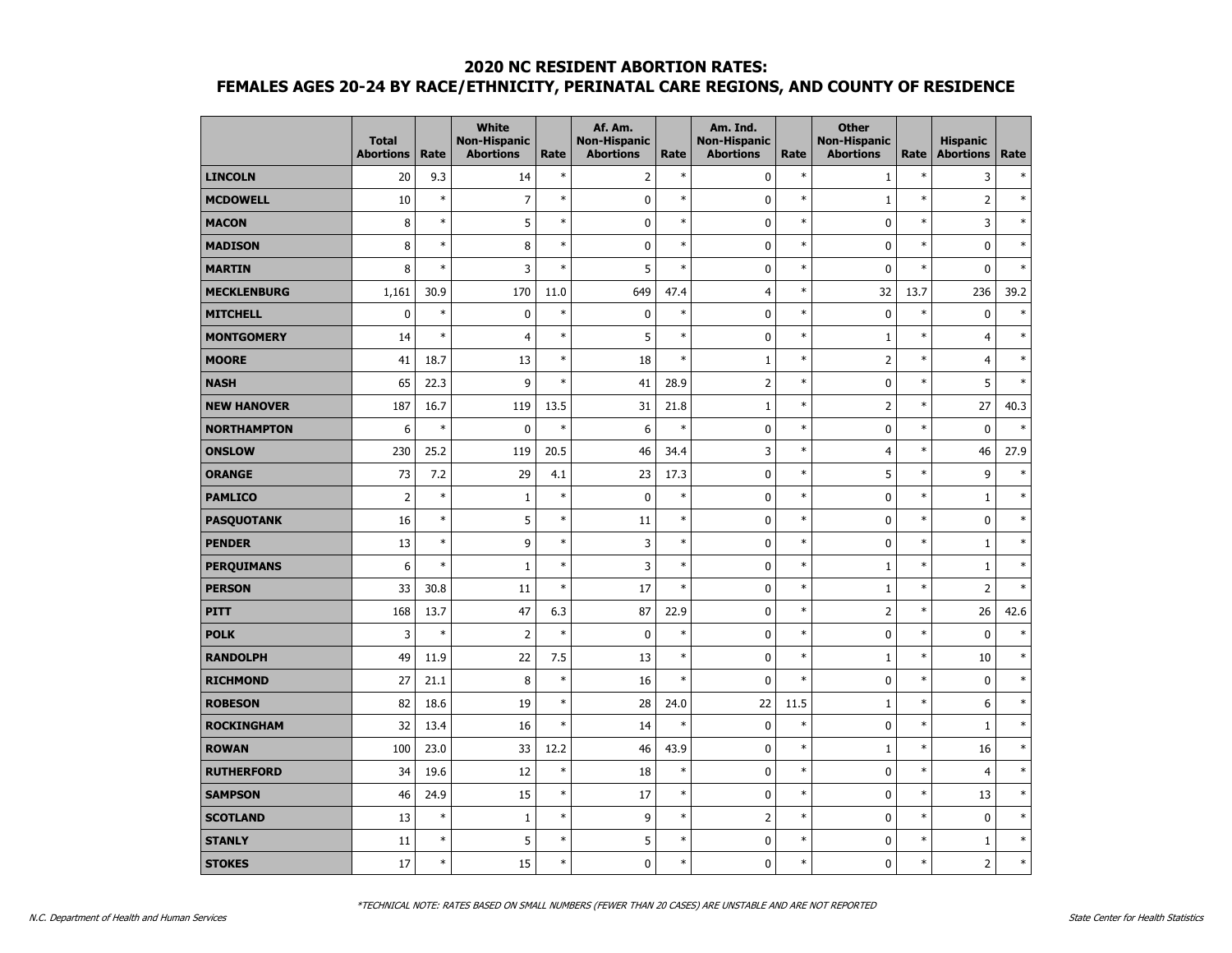|                    | <b>Total</b><br><b>Abortions</b> | Rate   | <b>White</b><br><b>Non-Hispanic</b><br><b>Abortions</b> | Rate   | Af. Am.<br><b>Non-Hispanic</b><br><b>Abortions</b> | Rate   | Am. Ind.<br><b>Non-Hispanic</b><br><b>Abortions</b> | Rate   | <b>Other</b><br><b>Non-Hispanic</b><br><b>Abortions</b> | Rate   | <b>Hispanic</b><br><b>Abortions</b> | Rate   |
|--------------------|----------------------------------|--------|---------------------------------------------------------|--------|----------------------------------------------------|--------|-----------------------------------------------------|--------|---------------------------------------------------------|--------|-------------------------------------|--------|
| <b>LINCOLN</b>     | 20                               | 9.3    | 14                                                      | $\ast$ | $\overline{2}$                                     | $\ast$ | 0                                                   | $\ast$ | $\mathbf{1}$                                            | $\ast$ | 3                                   | $\ast$ |
| <b>MCDOWELL</b>    | 10                               | $\ast$ | $\overline{7}$                                          | $\ast$ | $\mathbf 0$                                        | $\ast$ | 0                                                   | $\ast$ | $\mathbf{1}$                                            | $\ast$ | $\overline{2}$                      | $\ast$ |
| <b>MACON</b>       | 8                                | $\ast$ | 5                                                       | $\ast$ | $\mathbf 0$                                        | $\ast$ | $\mathbf 0$                                         | $\ast$ | $\mathbf 0$                                             | *      | 3                                   | $\ast$ |
| <b>MADISON</b>     | 8                                | $\ast$ | 8                                                       | $\ast$ | $\mathbf 0$                                        | $\ast$ | $\mathbf 0$                                         | $\ast$ | $\mathbf 0$                                             | $\ast$ | $\mathbf 0$                         | $\ast$ |
| <b>MARTIN</b>      | 8                                | $\ast$ | 3                                                       | $\ast$ | 5                                                  | $\ast$ | 0                                                   | $\ast$ | $\mathbf 0$                                             | $\ast$ | $\mathbf 0$                         | $\ast$ |
| <b>MECKLENBURG</b> | 1,161                            | 30.9   | 170                                                     | 11.0   | 649                                                | 47.4   | 4                                                   | $\ast$ | 32                                                      | 13.7   | 236                                 | 39.2   |
| <b>MITCHELL</b>    | $\mathbf 0$                      | $\ast$ | $\pmb{0}$                                               | $\ast$ | $\pmb{0}$                                          | $\ast$ | $\mathbf 0$                                         | $\ast$ | $\mathbf 0$                                             | $\ast$ | $\pmb{0}$                           | $\ast$ |
| <b>MONTGOMERY</b>  | 14                               | $\ast$ | $\overline{4}$                                          | $\ast$ | 5                                                  | $\ast$ | $\mathbf 0$                                         | $\ast$ | $\mathbf{1}$                                            | $\ast$ | $\overline{4}$                      | $\ast$ |
| <b>MOORE</b>       | 41                               | 18.7   | 13                                                      | $\ast$ | 18                                                 | $\ast$ | $\mathbf{1}$                                        | $\ast$ | $\overline{2}$                                          | $\ast$ | 4                                   | $\ast$ |
| <b>NASH</b>        | 65                               | 22.3   | 9                                                       | $\ast$ | 41                                                 | 28.9   | $\overline{2}$                                      | $\ast$ | 0                                                       | $\ast$ | 5                                   | $\ast$ |
| <b>NEW HANOVER</b> | 187                              | 16.7   | 119                                                     | 13.5   | 31                                                 | 21.8   | $\mathbf 1$                                         | $\ast$ | $\overline{2}$                                          | $\ast$ | 27                                  | 40.3   |
| <b>NORTHAMPTON</b> | 6                                | $\ast$ | 0                                                       | $\ast$ | 6                                                  | $\ast$ | $\mathbf 0$                                         | $\ast$ | $\mathbf 0$                                             | $\ast$ | $\mathbf 0$                         | $\ast$ |
| <b>ONSLOW</b>      | 230                              | 25.2   | 119                                                     | 20.5   | 46                                                 | 34.4   | 3                                                   | $\ast$ | $\overline{4}$                                          | $\ast$ | 46                                  | 27.9   |
| <b>ORANGE</b>      | 73                               | 7.2    | 29                                                      | 4.1    | 23                                                 | 17.3   | $\mathbf 0$                                         | $\ast$ | 5                                                       | $\ast$ | 9                                   | $\ast$ |
| <b>PAMLICO</b>     | $\overline{2}$                   | $\ast$ | $\mathbf{1}$                                            | $\ast$ | $\mathbf 0$                                        | $\ast$ | 0                                                   | $\ast$ | $\mathbf 0$                                             | $\ast$ | $1\,$                               | $\ast$ |
| <b>PASQUOTANK</b>  | 16                               | $\ast$ | 5                                                       | $\ast$ | 11                                                 | $\ast$ | $\mathbf 0$                                         | $\ast$ | $\mathbf 0$                                             | $\ast$ | $\pmb{0}$                           | $\ast$ |
| <b>PENDER</b>      | 13                               | $\ast$ | 9                                                       | $\ast$ | 3                                                  | $\ast$ | 0                                                   | $\ast$ | 0                                                       | $\ast$ | $\mathbf{1}$                        | $\ast$ |
| <b>PERQUIMANS</b>  | 6                                | $\ast$ | $\mathbf{1}$                                            | $\ast$ | 3                                                  | $\ast$ | $\mathbf 0$                                         | $\ast$ | $\mathbf{1}$                                            | $\ast$ | $1\,$                               | $\ast$ |
| <b>PERSON</b>      | 33                               | 30.8   | 11                                                      | $\ast$ | 17                                                 | $\ast$ | $\mathbf 0$                                         | $\ast$ | $\mathbf{1}$                                            | $\ast$ | $\overline{2}$                      | $\ast$ |
| <b>PITT</b>        | 168                              | 13.7   | 47                                                      | 6.3    | 87                                                 | 22.9   | $\mathbf 0$                                         | $\ast$ | $\overline{2}$                                          | $\ast$ | 26                                  | 42.6   |
| <b>POLK</b>        | 3                                | $\ast$ | $\overline{2}$                                          | $\ast$ | 0                                                  | $\ast$ | 0                                                   | $\ast$ | 0                                                       | $\ast$ | $\bf{0}$                            | $\ast$ |
| <b>RANDOLPH</b>    | 49                               | 11.9   | 22                                                      | 7.5    | 13                                                 | $\ast$ | $\mathbf 0$                                         | $\ast$ | $\mathbf{1}$                                            | $\ast$ | 10                                  | $\ast$ |
| <b>RICHMOND</b>    | 27                               | 21.1   | 8                                                       | $\ast$ | 16                                                 | $\ast$ | 0                                                   | $\ast$ | $\mathbf 0$                                             | $\ast$ | $\mathbf 0$                         | $\ast$ |
| <b>ROBESON</b>     | 82                               | 18.6   | 19                                                      | $\ast$ | 28                                                 | 24.0   | 22                                                  | 11.5   | $\mathbf{1}$                                            | $\ast$ | 6                                   | $\ast$ |
| <b>ROCKINGHAM</b>  | 32                               | 13.4   | 16                                                      | $\ast$ | 14                                                 | $\ast$ | 0                                                   | $\ast$ | 0                                                       | $\ast$ | $\mathbf{1}$                        | $\ast$ |
| <b>ROWAN</b>       | 100                              | 23.0   | 33                                                      | 12.2   | 46                                                 | 43.9   | 0                                                   | $\ast$ | $\mathbf{1}$                                            | $\ast$ | 16                                  | $\ast$ |
| <b>RUTHERFORD</b>  | 34                               | 19.6   | 12                                                      | $\ast$ | 18                                                 | $\ast$ | 0                                                   | $\ast$ | 0                                                       | *      | $\overline{4}$                      | $\ast$ |
| <b>SAMPSON</b>     | 46                               | 24.9   | 15                                                      | $\ast$ | 17                                                 | $\ast$ | $\mathbf 0$                                         | $\ast$ | $\mathbf 0$                                             | $\ast$ | 13                                  | $\ast$ |
| <b>SCOTLAND</b>    | 13                               | $\ast$ | $\mathbf{1}$                                            | $\ast$ | 9                                                  | $\ast$ | $\overline{2}$                                      | $\ast$ | 0                                                       | $\ast$ | $\pmb{0}$                           | $\ast$ |
| <b>STANLY</b>      | 11                               | $\ast$ | 5                                                       | $\ast$ | 5                                                  | $\ast$ | 0                                                   | $\ast$ | 0                                                       | $\ast$ | $\mathbf 1$                         | $\ast$ |
| <b>STOKES</b>      | 17                               | $\ast$ | 15                                                      | $\ast$ | $\mathbf 0$                                        | $\ast$ | 0                                                   | $\ast$ | 0                                                       | $\ast$ | $\overline{2}$                      | $\ast$ |